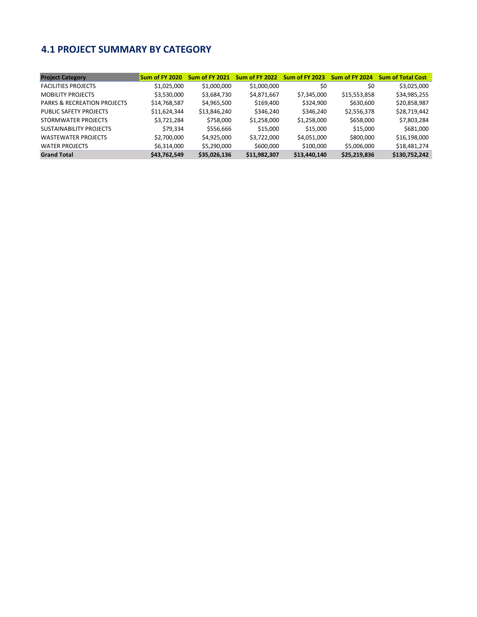## **4.1 PROJECT SUMMARY BY CATEGORY**

| <b>Project Category</b>                | Sum of FY 2020 | <b>Sum of FY 2021</b> | Sum of FY 2022 | <b>Sum of FY 2023</b> | Sum of FY 2024 | <b>Sum of Total Cost</b> |
|----------------------------------------|----------------|-----------------------|----------------|-----------------------|----------------|--------------------------|
| <b>FACILITIES PROJECTS</b>             | \$1,025,000    | \$1,000,000           | \$1,000,000    | \$0                   | \$0            | \$3,025,000              |
| <b>MOBILITY PROJECTS</b>               | \$3,530,000    | \$3,684,730           | \$4,871,667    | \$7,345,000           | \$15,553,858   | \$34,985,255             |
| <b>PARKS &amp; RECREATION PROJECTS</b> | \$14,768,587   | \$4,965,500           | \$169,400      | \$324,900             | \$630,600      | \$20,858,987             |
| PUBLIC SAFETY PROJECTS                 | \$11,624,344   | \$13,846,240          | \$346,240      | \$346,240             | \$2,556,378    | \$28,719,442             |
| STORMWATER PROJECTS                    | \$3,721,284    | \$758,000             | \$1,258,000    | \$1,258,000           | \$658,000      | \$7,803,284              |
| <b>SUSTAINABILITY PROJECTS</b>         | \$79,334       | \$556,666             | \$15,000       | \$15,000              | \$15,000       | \$681,000                |
| <b>WASTEWATER PROJECTS</b>             | \$2,700,000    | \$4,925,000           | \$3,722,000    | \$4,051,000           | \$800,000      | \$16,198,000             |
| <b>WATER PROJECTS</b>                  | \$6,314,000    | \$5,290,000           | \$600,000      | \$100,000             | \$5,006,000    | \$18,481,274             |
| <b>Grand Total</b>                     | \$43,762,549   | \$35,026,136          | \$11,982,307   | \$13,440,140          | \$25,219,836   | \$130,752,242            |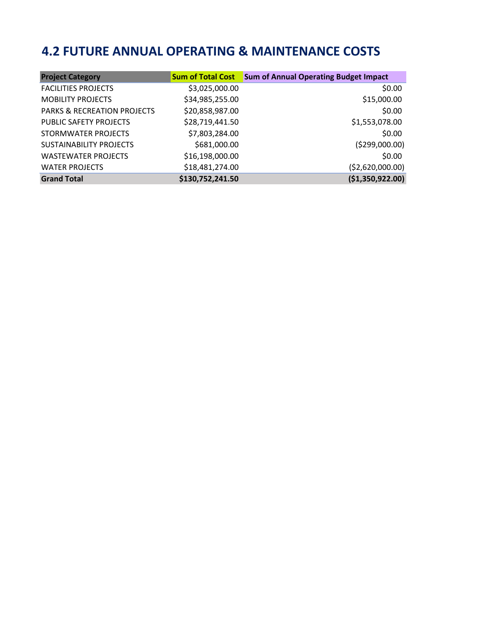# **4.2 FUTURE ANNUAL OPERATING & MAINTENANCE COSTS**

| <b>Project Category</b>                |                  | <b>Sum of Total Cost</b> Sum of Annual Operating Budget Impact |
|----------------------------------------|------------------|----------------------------------------------------------------|
| <b>FACILITIES PROJECTS</b>             | \$3,025,000.00   | \$0.00                                                         |
| <b>MOBILITY PROJECTS</b>               | \$34,985,255.00  | \$15,000.00                                                    |
| <b>PARKS &amp; RECREATION PROJECTS</b> | \$20,858,987.00  | \$0.00                                                         |
| PUBLIC SAFETY PROJECTS                 | \$28,719,441.50  | \$1,553,078.00                                                 |
| STORMWATER PROJECTS                    | \$7,803,284.00   | \$0.00                                                         |
| <b>SUSTAINABILITY PROJECTS</b>         | \$681,000.00     | ( \$299,000.00)                                                |
| <b>WASTEWATER PROJECTS</b>             | \$16,198,000.00  | \$0.00                                                         |
| <b>WATER PROJECTS</b>                  | \$18,481,274.00  | (\$2,620,000.00)                                               |
| <b>Grand Total</b>                     | \$130,752,241.50 | (\$1,350,922.00)                                               |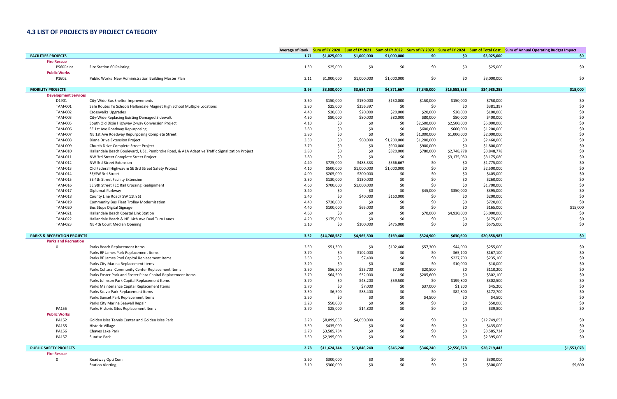## **4.3 LIST OF PROJECTS BY PROJECT CATEGORY**

|                                        |                                                                                              |      |              |              |             |             |              |              | Average of Rank Sum of FY 2020 Sum of FY 2021 Sum of FY 2022 Sum of FY 2023 Sum of FY 2024 Sum of Total Cost Sum of Annual Operating Budget Impact |
|----------------------------------------|----------------------------------------------------------------------------------------------|------|--------------|--------------|-------------|-------------|--------------|--------------|----------------------------------------------------------------------------------------------------------------------------------------------------|
| <b>FACILITIES PROJECTS</b>             |                                                                                              | 1.71 | \$1,025,000  | \$1,000,000  | \$1,000,000 | \$0         | \$0          | \$3,025,000  | \$0                                                                                                                                                |
| <b>Fire Rescue</b>                     |                                                                                              |      |              |              |             |             |              |              |                                                                                                                                                    |
| PS60Paint                              | Fire Station 60 Painting                                                                     | 1.30 | \$25,000     | \$0          | \$0         | \$0         | \$0          | \$25,000     | \$0                                                                                                                                                |
| <b>Public Works</b>                    |                                                                                              |      |              |              |             |             |              |              |                                                                                                                                                    |
| P1602                                  | Public Works New Administration Building Master Plan                                         | 2.11 | \$1,000,000  | \$1,000,000  | \$1,000,000 | \$0         | \$0          | \$3,000,000  | \$0                                                                                                                                                |
| <b>MOBILITY PROJECTS</b>               |                                                                                              |      |              |              |             |             |              |              | \$15,000                                                                                                                                           |
| <b>Development Services</b>            |                                                                                              | 3.93 | \$3,530,000  | \$3,684,730  | \$4,871,667 | \$7,345,000 | \$15,553,858 | \$34,985,255 |                                                                                                                                                    |
| D1901                                  | City-Wide Bus Shelter Improvements                                                           | 3.60 | \$150,000    | \$150,000    | \$150,000   | \$150,000   | \$150,000    | \$750,000    | \$0                                                                                                                                                |
| <b>TAM-001</b>                         | Safe Routes To Schools Hallandale Magnet High School Multiple Locations                      | 3.80 | \$25,000     | \$356,397    | \$0         | \$0         | \$0          | \$381,397    | \$0                                                                                                                                                |
| <b>TAM-002</b>                         | Crosswalks Upgrades                                                                          | 4.40 | \$20,000     | \$20,000     | \$20,000    | \$20,000    | \$20,000     | \$100,000    | \$0                                                                                                                                                |
| TAM-003                                | City-Wide Replacing Existing Damaged Sidewalk                                                | 4.30 | \$80,000     | \$80,000     | \$80,000    | \$80,000    | \$80,000     | \$400,000    | \$0                                                                                                                                                |
| <b>TAM-005</b>                         | South Old Dixie Highway 2-way Conversion Project                                             | 4.10 | \$0          | \$0          | \$0         | \$2,500,000 | \$2,500,000  | \$5,000,000  | \$0                                                                                                                                                |
| <b>TAM-006</b>                         | SE 1st Ave Roadway Repurposing                                                               | 3.80 | \$0          | \$0          | \$0         | \$600,000   | \$600,000    | \$1,200,000  | \$0                                                                                                                                                |
| <b>TAM-007</b>                         | NE 1st Ave Roadway Repurposing Complete Street                                               | 3.80 | \$0          | \$0          | \$0         | \$1,000,000 | \$1,000,000  | \$2,000,000  | \$0                                                                                                                                                |
| <b>TAM-008</b>                         | Diana Drive Extension Project                                                                | 3.30 | \$0          | \$60,000     | \$1,200,000 | \$1,200,000 | \$0          | \$2,460,000  | \$0                                                                                                                                                |
| <b>TAM-009</b>                         | Church Drive Complete Street Project                                                         | 3.70 | \$0          | \$0          | \$900,000   | \$900,000   | \$0          | \$1,800,000  | \$0                                                                                                                                                |
| TAM-010                                | Hallandale Beach Boulevard, US1, Pembroke Road, & A1A Adaptive Traffic Signalization Project | 3.80 | \$0          | \$0          | \$320,000   | \$780,000   | \$2,748,778  | \$3,848,778  | \$0                                                                                                                                                |
| TAM-011                                | NW 3rd Street Complete Street Project                                                        | 3.80 | \$0          | \$0          | \$0         | \$0         | \$3,175,080  | \$3,175,080  | \$0                                                                                                                                                |
| TAM-012                                | NW 3rd Street Extension                                                                      | 4.40 | \$725,000    | \$483,333    | \$566,667   | \$0         | \$0          | \$1,775,000  | \$0                                                                                                                                                |
| TAM-013                                | Old Federal Highway & SE 3rd Street Safety Project                                           | 4.10 | \$500,000    | \$1,000,000  | \$1,000,000 | \$0         | \$0          | \$2,500,000  | \$0                                                                                                                                                |
| TAM-014                                | SE/SW 3rd Street                                                                             | 4.00 | \$205,000    | \$200,000    | \$0         | \$0         | \$0          | \$405,000    | \$0                                                                                                                                                |
| <b>TAM-015</b>                         | SE 4th Street Facility Extension                                                             | 3.30 | \$130,000    | \$130,000    | \$0         | \$0         | \$0          | \$260,000    | \$0                                                                                                                                                |
| TAM-016                                | SE 9th Street FEC Rail Crossing Realignment                                                  | 4.60 | \$700,000    | \$1,000,000  | \$0         | \$0         | \$0          | \$1,700,000  | \$0                                                                                                                                                |
| <b>TAM-017</b>                         | Diplomat Parkway                                                                             | 3.40 | \$0          | \$0          | \$0         | \$45,000    | \$350,000    | \$395,000    | \$0                                                                                                                                                |
| <b>TAM-018</b>                         | County Line Road/ SW 11th St                                                                 | 3.40 | \$0          | \$40,000     | \$160,000   | \$0         | \$0          | \$200,000    | \$0                                                                                                                                                |
| TAM-019                                | Community Bus Fleet Trolley Modernization                                                    | 4.40 | \$720,000    | \$0          | \$0         | \$0         | \$0          | \$720,000    | \$0                                                                                                                                                |
| <b>TAM-020</b>                         | <b>Bus Stops Digital Signage</b>                                                             | 4.40 | \$100,000    | \$65,000     | \$0         | \$0         | \$0          | \$165,000    | \$15,000                                                                                                                                           |
| TAM-021                                | Hallandale Beach Coastal Link Station                                                        | 4.60 | \$0          | \$0          | \$0         | \$70,000    | \$4,930,000  | \$5,000,000  | \$0                                                                                                                                                |
| <b>TAM-022</b>                         | Hallandale Beach & NE 14th Ave Dual Turn Lanes                                               | 4.20 | \$175,000    | \$0          | \$0         | \$0         | \$0          | \$175,000    | \$0                                                                                                                                                |
| TAM-023                                | NE 4th Court Median Opening                                                                  | 3.10 | \$0          | \$100,000    | \$475,000   | \$0         | \$0          | \$575,000    | \$0                                                                                                                                                |
| <b>PARKS &amp; RECREATION PROJECTS</b> |                                                                                              | 3.52 | \$14,768,587 | \$4,965,500  | \$169,400   | \$324,900   | \$630,600    | \$20,858,987 | \$0                                                                                                                                                |
| <b>Parks and Recreation</b>            |                                                                                              |      |              |              |             |             |              |              |                                                                                                                                                    |
| 0                                      | Parks Beach Replacement Items                                                                | 3.50 | \$51,300     | \$0          | \$102,400   | \$57,300    | \$44,000     | \$255,000    | \$0                                                                                                                                                |
|                                        | Parks BF James Park Replacement Items                                                        | 3.70 | \$0          | \$102,000    | \$0         | \$0         | \$65,100     | \$167,100    | \$0                                                                                                                                                |
|                                        | Parks BF James Pool Capital Replacement Items                                                | 3.50 | \$0          | \$7,400      | \$0         | \$0         | \$227,700    | \$235,100    | \$0                                                                                                                                                |
|                                        | Parks City Marina Replacement Items                                                          | 3.20 | \$0          | \$0          | \$0         | \$0         | \$10,000     | \$10,000     | \$0                                                                                                                                                |
|                                        | Parks Cultural Community Center Replacement Items                                            | 3.50 | \$56,500     | \$25,700     | \$7,500     | \$20,500    | \$0          | \$110,200    | \$0                                                                                                                                                |
|                                        | Parks Foster Park and Foster Plaza Capital Replacement Items                                 | 3.70 | \$64,500     | \$32,000     | \$0         | \$205,600   | \$0          | \$302,100    | \$0                                                                                                                                                |
|                                        | Parks Johnson Park Capital Replacement Items                                                 | 3.70 | \$0          | \$43,200     | \$59,500    | \$0         | \$199,800    | \$302,500    | \$0                                                                                                                                                |
|                                        | Parks Maintenance Capital Replacement Items                                                  | 3.70 | \$0          | \$7,000      | \$0         | \$37,000    | \$1,200      | \$45,200     | \$0                                                                                                                                                |
|                                        | Parks Scavo Park Replacement Items                                                           | 3.50 | \$6,500      | \$83,400     | \$0         | \$0         | \$82,800     | \$172,700    | \$0                                                                                                                                                |
|                                        | Parks Sunset Park Replacement Items                                                          | 3.50 | \$0          | \$0          | \$0         | \$4,500     | \$0          | \$4,500      | \$0                                                                                                                                                |
|                                        | Parks City Marina Seawall Repair                                                             | 3.20 | \$50,000     | \$0          | \$0         | \$0         | \$0          | \$50,000     | \$0                                                                                                                                                |
| <b>PA155</b>                           | Parks Historic Sites Replacement Items                                                       | 3.70 | \$25,000     | \$14,800     | \$0         | \$0         | \$0          | \$39,800     | \$0                                                                                                                                                |
| <b>Public Works</b>                    |                                                                                              |      |              |              |             |             |              |              |                                                                                                                                                    |
| PA152                                  | Golden Isles Tennis Center and Golden Isles Park                                             | 3.20 | \$8,099,053  | \$4,650,000  | \$0         | \$0         | \$0          | \$12,749,053 | \$0                                                                                                                                                |
| <b>PA155</b>                           | <b>Historic Village</b>                                                                      | 3.50 | \$435,000    | \$0          | \$0         | \$0         | \$0          | \$435,000    | \$0                                                                                                                                                |
| PA156                                  | Chaves Lake Park                                                                             | 3.70 | \$3,585,734  | \$0          | \$0         | \$0         | \$0          | \$3,585,734  | \$0                                                                                                                                                |
| PA157                                  | Sunrise Park                                                                                 | 3.50 | \$2,395,000  | \$0          | \$0         | \$0         | \$0          | \$2,395,000  | \$0                                                                                                                                                |
| <b>PUBLIC SAFETY PROJECTS</b>          |                                                                                              | 2.78 | \$11,624,344 | \$13,846,240 | \$346,240   | \$346,240   | \$2,556,378  | \$28,719,442 | \$1,553,078                                                                                                                                        |
| <b>Fire Rescue</b>                     |                                                                                              |      |              |              |             |             |              |              |                                                                                                                                                    |
| 0                                      | Roadway Opti Com                                                                             | 3.60 | \$300,000    | \$0          | \$0         | \$0         | \$0          | \$300,000    | \$0                                                                                                                                                |
|                                        | <b>Station Alerting</b>                                                                      | 3.10 | \$300,000    | \$0          | \$0         | \$0         | \$0          | \$300,000    | \$9,600                                                                                                                                            |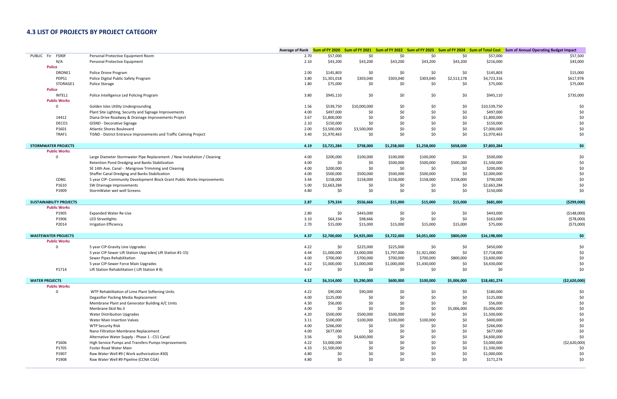## **4.3 LIST OF PROJECTS BY PROJECT CATEGORY**

|                                |                                                                          |      |             |              |             |             |             |              | Average of Rank Sum of FY 2020 Sum of FY 2021 Sum of FY 2022 Sum of FY 2023 Sum of FY 2024 Sum of Total Cost Sum of Annual Operating Budget Impact |
|--------------------------------|--------------------------------------------------------------------------|------|-------------|--------------|-------------|-------------|-------------|--------------|----------------------------------------------------------------------------------------------------------------------------------------------------|
| FS90F<br>PUBLIC<br>Fir         | Personal Protective Equipment Room                                       | 2.70 | \$57,000    | \$0          | \$0         | \$0         | \$0         | \$57,000     | \$57,500                                                                                                                                           |
| N/A                            | Personal Protective Equipment                                            | 2.10 | \$43,200    | \$43,200     | \$43,200    | \$43,200    | \$43,200    | \$216,000    | \$43,000                                                                                                                                           |
| <b>Police</b>                  |                                                                          |      |             |              |             |             |             |              |                                                                                                                                                    |
| DRONE1                         | Police Drone Program                                                     | 2.00 | \$145,803   | \$0          | \$0         | \$0         | \$0         | \$145,803    | \$15,000                                                                                                                                           |
| PDPS1                          | Police Digital Public Safety Program                                     | 3.80 | \$1,301,018 | \$303,040    | \$303,040   | \$303,040   | \$2,513,178 | \$4,723,316  | \$617,978                                                                                                                                          |
| STORAGE1                       | Police Storage                                                           | 1.80 | \$75,000    | \$0          | \$0         | \$0         | \$0         | \$75,000     | \$75,000                                                                                                                                           |
| <b>Police</b>                  |                                                                          |      |             |              |             |             |             |              |                                                                                                                                                    |
| INTEL1                         | Police Intelligence Led Policing Program                                 | 3.80 | \$945,110   | \$0          | \$0         | \$0         | \$0         | \$945,110    | \$735,000                                                                                                                                          |
| <b>Public Works</b>            |                                                                          |      |             |              |             |             |             |              |                                                                                                                                                    |
| $\Omega$                       | Golden Isles Utility Undergrounding                                      | 1.56 | \$539,750   | \$10,000,000 | \$0         | \$0         | \$0         | \$10,539,750 | \$0                                                                                                                                                |
|                                | Plant Site Lighting, Security and Signage Improvements                   | 4.00 | \$497,000   | \$0          | \$0         | \$0         | \$0         | \$497,000    | \$0                                                                                                                                                |
| 14412                          | Diana Drive Roadway & Drainage Improvements Project                      | 3.67 | \$1,800,000 | \$0          | \$0         | \$0         | \$0         | \$1,800,000  | \$0                                                                                                                                                |
| DECO1                          | <b>GISND - Decorative Signage</b>                                        | 2.10 | \$150,000   | \$0          | \$0         | \$0         | \$0         | \$150,000    | \$0                                                                                                                                                |
| P1601                          | <b>Atlantic Shores Boulevard</b>                                         | 2.00 | \$3,500,000 | \$3,500,000  | \$0         | \$0         | \$0         | \$7,000,000  | \$0                                                                                                                                                |
| TRAF1                          | TISND - District Entrance Improvements and Traffic Calming Project       | 3.40 | \$1,970,463 | \$0          | \$0         | \$0         | \$0         | \$1,970,463  | \$0                                                                                                                                                |
| <b>STORMWATER PROJECTS</b>     |                                                                          | 4.19 | \$3,721,284 | \$758,000    | \$1,258,000 | \$1,258,000 | \$658,000   | \$7,803,284  | \$0                                                                                                                                                |
| <b>Public Works</b>            |                                                                          |      |             |              |             |             |             |              |                                                                                                                                                    |
| $\Omega$                       | Large Diameter Stormwater Pipe Replacement / New Installation / Cleaning | 4.00 | \$200,000   | \$100,000    | \$100,000   | \$100,000   | \$0         | \$500,000    | \$0                                                                                                                                                |
|                                | Retention Pond Dredging and Banks Stabilization                          | 4.00 | \$0         | \$0          | \$500,000   | \$500,000   | \$500,000   | \$1,500,000  | \$0                                                                                                                                                |
|                                | SE 14th Ave. Canal - Mangrove Trimming and Cleaning                      | 4.00 | \$200,000   | \$0          | \$0         | \$0         | \$0         | \$200,000    | \$0                                                                                                                                                |
|                                | Shaffer Canal Dredging and Banks Stabilization                           | 4.00 | \$500,000   | \$500,000    | \$500,000   | \$500,000   | \$0         | \$2,000,000  | \$0                                                                                                                                                |
| CDBG                           | 5 year CIP- Community Development Block Grant Public Works Improvements  | 3.44 | \$158,000   | \$158,000    | \$158,000   | \$158,000   | \$158,000   | \$790,000    | \$0                                                                                                                                                |
| P1610                          | SW Drainage Improvements                                                 | 5.00 | \$2,663,284 | \$0          | \$0         | \$0         | \$0         | \$2,663,284  | \$0                                                                                                                                                |
| P1909                          | StormWater wet well Screens                                              | 4.80 | \$0         | \$0          | \$0         | \$0         | \$0         | \$150,000    | \$0                                                                                                                                                |
|                                |                                                                          |      |             |              |             |             |             |              |                                                                                                                                                    |
| <b>SUSTAINABILITY PROJECTS</b> |                                                                          | 2.87 | \$79,334    | \$556,666    | \$15,000    | \$15,000    | \$15,000    | \$681,000    | ( \$299,000)                                                                                                                                       |
| <b>Public Works</b>            |                                                                          |      |             |              |             |             |             |              |                                                                                                                                                    |
| P1905                          | <b>Expanded Water Re-Use</b>                                             | 2.80 | \$0         | \$443,000    | \$0         | \$0         | \$0         | \$443,000    | ( \$148,000)                                                                                                                                       |
| P1906                          | LED Streetlights                                                         | 3.10 | \$64,334    | \$98,666     | \$0         | \$0         | \$0         | \$163,000    | (578,000)                                                                                                                                          |
| P2014                          | <b>Irrigation Efficiency</b>                                             | 2.70 | \$15,000    | \$15,000     | \$15,000    | \$15,000    | \$15,000    | \$75,000     | ( \$73,000)                                                                                                                                        |
| <b>WASTEWATER PROJECTS</b>     |                                                                          | 4.37 | \$2,700,000 | \$4,925,000  | \$3,722,000 | \$4,051,000 | \$800,000   | \$16,198,000 | \$0                                                                                                                                                |
| <b>Public Works</b>            |                                                                          |      |             |              |             |             |             |              |                                                                                                                                                    |
| $\Omega$                       | 5 year CIP-Gravity Line Upgrades                                         | 4.22 | \$0         | \$225,000    | \$225,000   | \$0         | \$0         | \$450,000    | \$0                                                                                                                                                |
|                                | 5 year CIP-Sewer Lift Station Upgrades( Lift Station #1-15)              | 4.44 | \$1,000,000 | \$3,000,000  | \$1,797,000 | \$1,921,000 | \$0         | \$7,718,000  | \$0                                                                                                                                                |
|                                | Sewer Pipes Rehabilitation                                               | 4.00 | \$700,000   | \$700,000    | \$700,000   | \$700,000   | \$800,000   | \$3,600,000  | \$0                                                                                                                                                |
|                                | 5 year CIP-Sewer Force Main Upgrades                                     | 4.22 | \$1,000,000 | \$1,000,000  | \$1,000,000 | \$1,430,000 | \$0         | \$4,430,000  | \$0                                                                                                                                                |
| P1714                          | Lift Station Rehabilitation (Lift Station #8)                            | 4.67 | \$0         | \$0          | \$0         | \$0         | \$0         | \$0          | \$0                                                                                                                                                |
| <b>WATER PROJECTS</b>          |                                                                          | 4.12 | \$6,314,000 | \$5,290,000  | \$600,000   | \$100,000   | \$5,006,000 | \$18,481,274 | ( \$2,620,000)                                                                                                                                     |
| <b>Public Works</b>            |                                                                          |      |             |              |             |             |             |              |                                                                                                                                                    |
| $\Omega$                       | WTP Rehabilitation of Lime Plant Softening Units                         | 4.22 | \$90,000    | \$90,000     | \$0         | \$0         | \$0         | \$180,000    | \$0                                                                                                                                                |
|                                | Degasifier Packing Media Replacement                                     | 4.00 | \$125,000   | \$0          | \$0         | \$0         | \$0         | \$125,000    | \$0                                                                                                                                                |
|                                | Membrane Plant and Generator Building A/C Units                          | 4.30 | \$56,000    | \$0          | \$0         | \$0         | \$0         | \$56,000     | \$0                                                                                                                                                |
|                                | Menbrane Skid No.3                                                       | 4.00 | \$0         | \$0          | \$0         | $$0$$       | \$5,006,000 | \$5,006,000  | \$0                                                                                                                                                |
|                                | <b>Water Distribution Upgrades</b>                                       | 4.20 | \$500,000   | \$500,000    | \$500,000   | \$0         | \$0         | \$1,500,000  | \$0                                                                                                                                                |
|                                | <b>Water Main Insertion Valves</b>                                       | 3.11 | \$100,000   | \$100,000    | \$100,000   | \$100,000   | \$0         | \$400,000    | \$0                                                                                                                                                |
|                                | <b>WTP Security Risk</b>                                                 | 4.00 | \$266,000   | \$0          | \$0         | \$0         | \$0         | \$266,000    | \$0                                                                                                                                                |
|                                | Nano Filtration Membrane Replacement                                     | 4.00 | \$677,000   | \$0          | \$0         | \$0         | \$0         | \$677,000    | \$0                                                                                                                                                |
|                                | Alternative Water Supply - Phase 1 - C51 Canal                           | 3.56 | \$0         | \$4,600,000  | \$0         | \$0         | \$0         | \$4,600,000  | \$0                                                                                                                                                |
| P1606                          | High Service Pumps and Transfers Pumps Improvements                      | 4.22 | \$3,000,000 | \$0          | \$0         | \$0         | \$0         | \$3,000,000  | ( \$2,620,000)                                                                                                                                     |
| P1705                          | Foster Road Water Main                                                   | 4.33 | \$1,500,000 | \$0          | \$0         | \$0         | \$0         | \$1,500,000  | \$0                                                                                                                                                |
| P1907                          | Raw Water Well #9 (Work authorization #30)                               | 4.80 | \$0         | \$0          | \$0         | \$0         | \$0         | \$1,000,000  | \$0                                                                                                                                                |
| P1908                          | Raw Water Well #9 Pipeline (CCNA CGA)                                    | 4.80 | \$0         | \$0          | \$0         | \$0         | \$0         | \$171,274    | \$0                                                                                                                                                |
|                                |                                                                          |      |             |              |             |             |             |              |                                                                                                                                                    |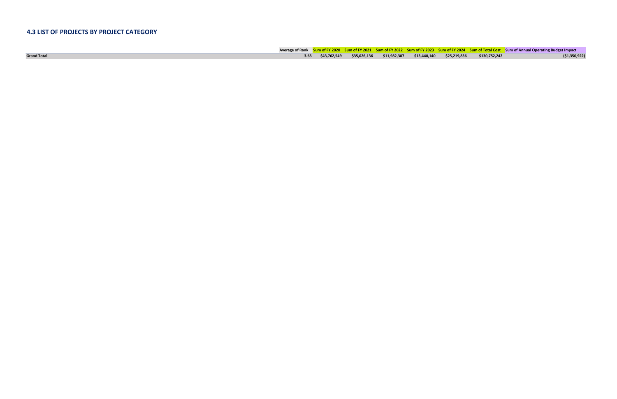## **4.3 LIST OF PROJECTS BY PROJECT CATEGORY**

|                    |  |  |  |                                                                                            | Average of Rank Sum of FY 2020 Sum of FY 2021 Sum of FY 2022 Sum of FY 2023 Sum of FY 2024 Sum of Total Cost Sum of Annual Operating Budget Impact |
|--------------------|--|--|--|--------------------------------------------------------------------------------------------|----------------------------------------------------------------------------------------------------------------------------------------------------|
| <b>Grand Total</b> |  |  |  | 3.63  \$43,762,549  \$35,026,136  \$11,982,307  \$13,440,140  \$25,219,836   \$130,752,242 | ( \$1,350,922)                                                                                                                                     |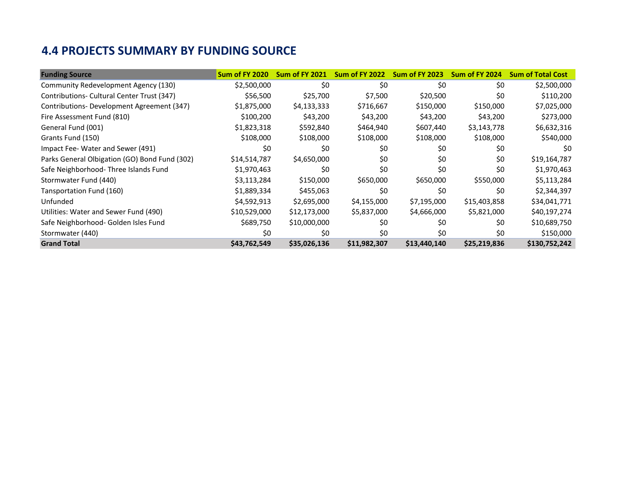## **4.4 PROJECTS SUMMARY BY FUNDING SOURCE**

| <b>Funding Source</b>                         | Sum of FY 2020 | <b>Sum of FY 2021</b> | <b>Sum of FY 2022</b> | <b>Sum of FY 2023</b> | Sum of FY 2024 | <b>Sum of Total Cost</b> |
|-----------------------------------------------|----------------|-----------------------|-----------------------|-----------------------|----------------|--------------------------|
| Community Redevelopment Agency (130)          | \$2,500,000    | \$0                   | \$0                   | \$0                   | \$0            | \$2,500,000              |
| Contributions- Cultural Center Trust (347)    | \$56,500       | \$25,700              | \$7,500               | \$20,500              | \$0            | \$110,200                |
| Contributions-Development Agreement (347)     | \$1,875,000    | \$4,133,333           | \$716,667             | \$150,000             | \$150,000      | \$7,025,000              |
| Fire Assessment Fund (810)                    | \$100,200      | \$43,200              | \$43,200              | \$43,200              | \$43,200       | \$273,000                |
| General Fund (001)                            | \$1,823,318    | \$592,840             | \$464,940             | \$607,440             | \$3,143,778    | \$6,632,316              |
| Grants Fund (150)                             | \$108,000      | \$108,000             | \$108,000             | \$108,000             | \$108,000      | \$540,000                |
| Impact Fee-Water and Sewer (491)              | \$0            | \$0                   | \$0                   | \$0                   | \$0            | \$0                      |
| Parks General Olbigation (GO) Bond Fund (302) | \$14,514,787   | \$4,650,000           | \$0                   | \$0                   | \$0            | \$19,164,787             |
| Safe Neighborhood-Three Islands Fund          | \$1,970,463    | \$0                   | \$0                   | \$0                   | \$0            | \$1,970,463              |
| Stormwater Fund (440)                         | \$3,113,284    | \$150,000             | \$650,000             | \$650,000             | \$550,000      | \$5,113,284              |
| Tansportation Fund (160)                      | \$1,889,334    | \$455,063             | \$0                   | \$0                   | \$0            | \$2,344,397              |
| Unfunded                                      | \$4,592,913    | \$2,695,000           | \$4,155,000           | \$7,195,000           | \$15,403,858   | \$34,041,771             |
| Utilities: Water and Sewer Fund (490)         | \$10,529,000   | \$12,173,000          | \$5,837,000           | \$4,666,000           | \$5,821,000    | \$40,197,274             |
| Safe Neighborhood- Golden Isles Fund          | \$689,750      | \$10,000,000          | \$0                   | \$0                   | \$0            | \$10,689,750             |
| Stormwater (440)                              | \$0            | \$0                   | \$0                   | \$0                   | \$0            | \$150,000                |
| <b>Grand Total</b>                            | \$43,762,549   | \$35,026,136          | \$11,982,307          | \$13,440,140          | \$25,219,836   | \$130,752,242            |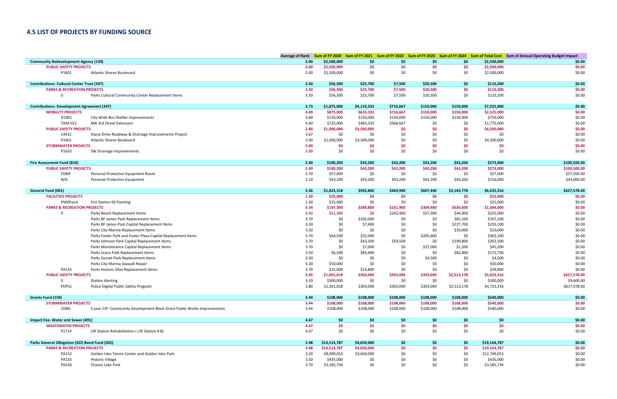## **4.5 LIST OF PROJECTS BY FUNDING SOURCE**

|                                                   |                                                                         |              |                        |                        |                        |                  |                  |                          | Average of Rank Sum of FY 2020 Sum of FY 2021 Sum of FY 2022 Sum of FY 2023 Sum of FY 2024 Sum of Total Cost Sum of Annual Operating Budget Impact |
|---------------------------------------------------|-------------------------------------------------------------------------|--------------|------------------------|------------------------|------------------------|------------------|------------------|--------------------------|----------------------------------------------------------------------------------------------------------------------------------------------------|
| <b>Community Redevelopment Agency (130)</b>       |                                                                         | 2.00         | \$2,500,000            | \$0                    | \$0                    | \$0              | \$0              | \$2,500,000              | \$0.00                                                                                                                                             |
| <b>PUBLIC SAFETY PROJECTS</b>                     |                                                                         | 2.00         | \$2,500,000            | \$0                    | \$0                    | \$0              | \$0              | \$2,500,000              | \$0.00                                                                                                                                             |
| P1601                                             | <b>Atlantic Shores Boulevard</b>                                        | 2.00         | \$2,500,000            | \$0                    | \$0                    | \$0              | \$0              | \$2,500,000              | \$0.00                                                                                                                                             |
|                                                   |                                                                         |              |                        |                        |                        |                  |                  |                          |                                                                                                                                                    |
| <b>Contributions- Cultural Center Trust (347)</b> |                                                                         | 3.50         | \$56,500               | \$25,700               | \$7,500                | \$20,500         | \$0              | \$110,200                | \$0.00                                                                                                                                             |
| <b>PARKS &amp; RECREATION PROJECTS</b>            |                                                                         | 3.50         | \$56,500               | \$25,700               | \$7,500                | \$20,500         | \$0              | \$110,200                | \$0.00                                                                                                                                             |
| 0                                                 | Parks Cultural Community Center Replacement Items                       | 3.50         | \$56,500               | \$25,700               | \$7,500                | \$20,500         | \$0              | \$110,200                | \$0.00                                                                                                                                             |
|                                                   |                                                                         |              |                        |                        |                        |                  |                  |                          |                                                                                                                                                    |
| <b>Contributions- Development Agreement (347)</b> |                                                                         | 3.73         | \$1,875,000            | \$4,133,333            | \$716,667              | \$150,000        | \$150,000        | \$7,025,000              | \$0.00                                                                                                                                             |
| <b>MOBILITY PROJECTS</b><br>D1901                 | City-Wide Bus Shelter Improvements                                      | 4.00<br>3.60 | \$875,000<br>\$150,000 | \$633,333              | \$716,667              | \$150,000        | \$150,000        | \$2,525,000              | \$0.00<br>\$0.00                                                                                                                                   |
| TAM-012                                           | NW 3rd Street Extension                                                 | 4.40         | \$725,000              | \$150,000<br>\$483,333 | \$150,000<br>\$566,667 | \$150,000<br>\$0 | \$150,000<br>\$0 | \$750,000<br>\$1,775,000 | \$0.00                                                                                                                                             |
| <b>PUBLIC SAFETY PROJECTS</b>                     |                                                                         | 2.84         | \$1,000,000            | \$3,500,000            | \$0                    | \$0              | \$0              | \$4,500,000              | \$0.00                                                                                                                                             |
| 14412                                             | Diana Drive Roadway & Drainage Improvements Project                     | 3.67         | \$0                    | \$0                    | \$0                    | \$0              | \$0              | \$0                      | \$0.00                                                                                                                                             |
| P1601                                             | <b>Atlantic Shores Boulevard</b>                                        | 2.00         | \$1,000,000            | \$3,500,000            | \$0                    | \$0              | \$0              | \$4,500,000              | \$0.00                                                                                                                                             |
| <b>STORMWATER PROJECTS</b>                        |                                                                         | 5.00         | \$0                    | \$0                    | \$0                    | \$0              | \$0              | \$0                      | \$0.00                                                                                                                                             |
| P1610                                             | SW Drainage Improvements                                                | 5.00         | \$0                    | \$0                    | \$0                    | \$0              | \$0              | \$0                      | \$0.00                                                                                                                                             |
|                                                   |                                                                         |              |                        |                        |                        |                  |                  |                          |                                                                                                                                                    |
| Fire Assessment Fund (810)                        |                                                                         | 2.40         | \$100,200              | \$43,200               | \$43,200               | \$43,200         | \$43,200         | \$273,000                | \$100,500.00                                                                                                                                       |
| <b>PUBLIC SAFETY PROJECTS</b>                     |                                                                         | 2.40         | \$100,200              | \$43,200               | \$43,200               | \$43,200         | \$43,200         | \$273,000                | \$100,500.00                                                                                                                                       |
| FS90F                                             | Personal Protective Equipment Room                                      | 2.70         | \$57,000               | \$0                    | \$0                    | \$0              | \$0              | \$57,000                 | \$57,500.00                                                                                                                                        |
| N/A                                               | Personal Protective Equipment                                           | 2.10         | \$43,200               | \$43,200               | \$43,200               | \$43,200         | \$43,200         | \$216,000                | \$43,000.00                                                                                                                                        |
|                                                   |                                                                         |              |                        |                        |                        |                  |                  |                          |                                                                                                                                                    |
| <b>General Fund (001)</b>                         |                                                                         | 3.36         | \$1,823,318            | \$592,840              | \$464,940              | \$607,440        | \$3,143,778      | \$6,632,316              | \$627,578.00                                                                                                                                       |
| <b>FACILITIES PROJECTS</b>                        |                                                                         | 1.30         | \$25,000               | \$0                    | \$0                    | \$0              | \$0              | \$25,000                 | \$0.00                                                                                                                                             |
| PS60Paint                                         | Fire Station 60 Painting                                                | 1.30         | \$25,000               | \$0                    | \$0                    | \$0              | \$0              | \$25,000                 | \$0.00                                                                                                                                             |
| <b>PARKS &amp; RECREATION PROJECTS</b>            |                                                                         | 3.54         | \$197,300              | \$289,800              | \$161,900              | \$304,400        | \$630,600        | \$1,584,000              | \$0.00                                                                                                                                             |
| $\mathbf 0$                                       | Parks Beach Replacement Items                                           | 3.50         | \$51,300               | \$0                    | \$102,400              | \$57,300         | \$44,000         | \$255,000                | \$0.00                                                                                                                                             |
|                                                   | Parks BF James Park Replacement Items                                   | 3.70         | \$0                    | \$102,000              | \$0                    | \$0              | \$65,100         | \$167,100                | \$0.00                                                                                                                                             |
|                                                   | Parks BF James Pool Capital Replacement Items                           | 3.50         | \$0                    | \$7,400                | \$0                    | \$0              | \$227,700        | \$235,100                | \$0.00                                                                                                                                             |
|                                                   | Parks City Marina Replacement Items                                     | 3.20         | \$0                    | \$0                    | \$0                    | \$0              | \$10,000         | \$10,000                 | \$0.00                                                                                                                                             |
|                                                   | Parks Foster Park and Foster Plaza Capital Replacement Items            | 3.70         | \$64,500               | \$32,000               | \$0                    | \$205,600        | \$0              | \$302,100                | \$0.00                                                                                                                                             |
|                                                   | Parks Johnson Park Capital Replacement Items                            | 3.70         | \$0                    | \$43,200               | \$59,500               | \$0              | \$199,800        | \$302,500                | \$0.00                                                                                                                                             |
|                                                   | Parks Maintenance Capital Replacement Items                             | 3.70         | \$0                    | \$7,000                | \$0                    | \$37,000         | \$1,200          | \$45,200                 | \$0.00                                                                                                                                             |
|                                                   | Parks Scavo Park Replacement Items                                      | 3.50         | \$6,500                | \$83,400               | \$0                    | \$0              | \$82,800         | \$172,700                | \$0.00                                                                                                                                             |
|                                                   | Parks Sunset Park Replacement Items                                     | 3.50         | \$0                    | \$0                    | \$0                    | \$4,500          | \$0              | \$4,500                  | \$0.00                                                                                                                                             |
|                                                   | Parks City Marina Seawall Repair                                        | 3.20         | \$50,000               | \$0                    | \$0                    | \$0              | \$0              | \$50,000                 | \$0.00                                                                                                                                             |
| <b>PA155</b>                                      | Parks Historic Sites Replacement Items                                  | 3.70         | \$25,000               | \$14,800               | \$0                    | \$0              | \$0              | \$39,800                 | \$0.00                                                                                                                                             |
| <b>PUBLIC SAFETY PROJECTS</b><br>$\mathbf 0$      |                                                                         | 3.45         | \$1,601,018            | \$303,040              | \$303,040              | \$303,040        | \$2,513,178      | \$5,023,316              | \$627,578.00                                                                                                                                       |
| PDPS1                                             | <b>Station Alerting</b>                                                 | 3.10<br>3.80 | \$300,000              | \$0                    | \$0                    | \$0              | \$0              | \$300,000                | \$9,600.00<br>\$617,978.00                                                                                                                         |
|                                                   | Police Digital Public Safety Program                                    |              | \$1,301,018            | \$303,040              | \$303,040              | \$303,040        | \$2,513,178      | \$4,723,316              |                                                                                                                                                    |
| <b>Grants Fund (150)</b>                          |                                                                         | 3.44         | \$108,000              | \$108,000              | \$108,000              | \$108,000        | \$108,000        | \$540,000                | \$0.00                                                                                                                                             |
| <b>STORMWATER PROJECTS</b>                        |                                                                         | 3.44         | \$108,000              | \$108,000              | \$108,000              | \$108,000        | \$108,000        | \$540,000                | \$0.00                                                                                                                                             |
| CDBG                                              | 5 year CIP- Community Development Block Grant Public Works Improvements | 3.44         | \$108,000              | \$108,000              | \$108,000              | \$108,000        | \$108,000        | \$540,000                | \$0.00                                                                                                                                             |
|                                                   |                                                                         |              |                        |                        |                        |                  |                  |                          |                                                                                                                                                    |
| <b>Impact Fee- Water and Sewer (491)</b>          |                                                                         | 4.67         | \$0\$                  | \$0                    | \$0                    | \$0              | \$0              | \$0                      | \$0.00                                                                                                                                             |
| <b>WASTEWATER PROJECTS</b>                        |                                                                         | 4.67         | \$0                    | \$0                    | \$0                    | \$0              | \$0              | \$0                      | \$0.00                                                                                                                                             |
| P1714                                             | Lift Station Rehabilitation (Lift Station #8)                           | 4.67         | \$0                    | \$0                    | \$0                    | \$0              | \$0              | \$0                      | \$0.00                                                                                                                                             |
|                                                   |                                                                         |              |                        |                        |                        |                  |                  |                          |                                                                                                                                                    |
| Parks General Olbigation (GO) Bond Fund (302)     |                                                                         | 3.48         | \$14,514,787           | \$4,650,000            | \$0                    | \$0              | \$0              | \$19,164,787             | \$0.00                                                                                                                                             |
| <b>PARKS &amp; RECREATION PROJECTS</b>            |                                                                         | 3.48         | \$14,514,787           | \$4,650,000            | \$0                    | \$0              | \$0              | \$19,164,787             | \$0.00                                                                                                                                             |
| PA152                                             | Golden Isles Tennis Center and Golden Isles Park                        | 3.20         | \$8,099,053            | \$4,650,000            | \$0                    | \$0              | \$0              | \$12,749,053             | \$0.00                                                                                                                                             |
| <b>PA155</b>                                      | <b>Historic Village</b>                                                 | 3.50         | \$435,000              | \$0                    | \$0                    | \$0              | \$0              | \$435,000                | \$0.00                                                                                                                                             |
| PA156                                             | Chaves Lake Park                                                        | 3.70         | \$3,585,734            | \$0                    | \$0                    | \$0              | \$0              | \$3,585,734              | \$0.00                                                                                                                                             |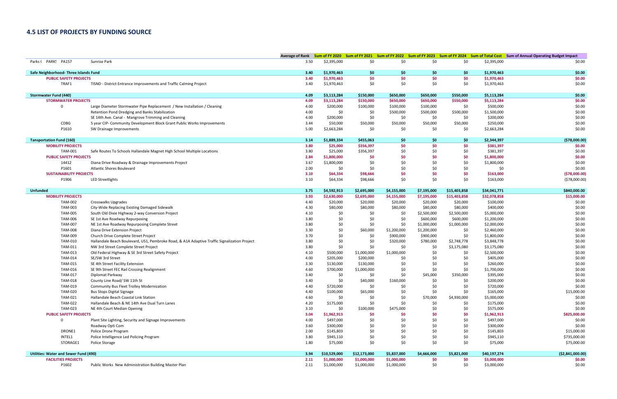## **4.5 LIST OF PROJECTS BY FUNDING SOURCE**

|                                       |                                                                                              |      |              |              |             |             |              |              | Average of Rank Sum of FY 2020 Sum of FY 2021 Sum of FY 2022 Sum of FY 2023 Sum of FY 2024 Sum of Total Cost Sum of Annual Operating Budget Impact |
|---------------------------------------|----------------------------------------------------------------------------------------------|------|--------------|--------------|-------------|-------------|--------------|--------------|----------------------------------------------------------------------------------------------------------------------------------------------------|
| Parks (PARK! PA157                    | Sunrise Park                                                                                 | 3.50 | \$2,395,000  | \$0          | \$0         | \$0         | \$0          | \$2,395,000  | \$0.00                                                                                                                                             |
| Safe Neighborhood- Three Islands Fund |                                                                                              | 3.40 | \$1,970,463  | \$0          | \$0         | \$0         | \$0          | \$1,970,463  | \$0.00                                                                                                                                             |
| <b>PUBLIC SAFETY PROJECTS</b>         |                                                                                              | 3.40 | \$1,970,463  | \$0          | \$0         | \$0         | \$0          | \$1,970,463  | \$0.00                                                                                                                                             |
| TRAF1                                 | TISND - District Entrance Improvements and Traffic Calming Project                           | 3.40 | \$1,970,463  | \$0          | \$0         | \$0         | \$0          | \$1,970,463  | \$0.00                                                                                                                                             |
|                                       |                                                                                              |      |              |              |             |             |              |              |                                                                                                                                                    |
| <b>Stormwater Fund (440)</b>          |                                                                                              | 4.09 | \$3,113,284  | \$150,000    | \$650,000   | \$650,000   | \$550,000    | \$5,113,284  | \$0.00                                                                                                                                             |
| <b>STORMWATER PROJECTS</b>            |                                                                                              | 4.09 | \$3,113,284  | \$150,000    | \$650,000   | \$650,000   | \$550,000    | \$5,113,284  | \$0.00                                                                                                                                             |
| 0                                     | Large Diameter Stormwater Pipe Replacement / New Installation / Cleaning                     | 4.00 | \$200,000    | \$100,000    | \$100,000   | \$100,000   | \$0          | \$500,000    | \$0.00                                                                                                                                             |
|                                       | Retention Pond Dredging and Banks Stabilization                                              | 4.00 | \$0          | \$0          | \$500,000   | \$500,000   | \$500,000    | \$1,500,000  | \$0.00                                                                                                                                             |
|                                       | SE 14th Ave. Canal - Mangrove Trimming and Cleaning                                          | 4.00 | \$200,000    | \$0          | \$0         | \$0         | \$0          | \$200,000    | \$0.00                                                                                                                                             |
| CDBG                                  | 5 year CIP- Community Development Block Grant Public Works Improvements                      | 3.44 | \$50,000     | \$50,000     | \$50,000    | \$50,000    | \$50,000     | \$250,000    | \$0.00                                                                                                                                             |
| P1610                                 | SW Drainage Improvements                                                                     | 5.00 | \$2,663,284  | \$0          | \$0         | \$0         | \$0          | \$2,663,284  | \$0.00                                                                                                                                             |
| <b>Tansportation Fund (160)</b>       |                                                                                              | 3.14 | \$1,889,334  | \$455,063    | \$0         | \$0         | \$0          | \$2,344,397  | (578,000.00)                                                                                                                                       |
| <b>MOBILITY PROJECTS</b>              |                                                                                              | 3.80 | \$25,000     | \$356,397    | \$0         | \$0         | \$0          | \$381,397    | \$0.00                                                                                                                                             |
| <b>TAM-001</b>                        | Safe Routes To Schools Hallandale Magnet High School Multiple Locations                      | 3.80 | \$25,000     | \$356,397    | \$0         | \$0         | \$0          | \$381,397    | \$0.00                                                                                                                                             |
| <b>PUBLIC SAFETY PROJECTS</b>         |                                                                                              | 2.84 | \$1,800,000  | \$0          | \$0         | \$0         | \$0          | \$1,800,000  | \$0.00                                                                                                                                             |
| 14412                                 | Diana Drive Roadway & Drainage Improvements Project                                          | 3.67 | \$1,800,000  | \$0          | \$0         | \$0         | \$0          | \$1,800,000  | \$0.00                                                                                                                                             |
| P1601                                 | <b>Atlantic Shores Boulevard</b>                                                             | 2.00 | \$0          | \$0          | \$0         | \$0         | \$0          | \$0          | \$0.00                                                                                                                                             |
| <b>SUSTAINABILITY PROJECTS</b>        |                                                                                              | 3.10 | \$64,334     | \$98,666     | \$0         | \$0         | \$0          | \$163,000    | (578,000.00)                                                                                                                                       |
| P1906                                 | <b>LED Streetlights</b>                                                                      | 3.10 | \$64,334     | \$98,666     | \$0         | \$0         | \$0          | \$163,000    | (578,000.00)                                                                                                                                       |
|                                       |                                                                                              |      |              |              |             |             |              |              |                                                                                                                                                    |
| <b>Unfunded</b>                       |                                                                                              | 3.75 | \$4,592,913  | \$2,695,000  | \$4,155,000 | \$7,195,000 | \$15,403,858 | \$34,041,771 | \$840,000.00                                                                                                                                       |
| <b>MOBILITY PROJECTS</b>              |                                                                                              | 3.93 | \$2,630,000  | \$2,695,000  | \$4,155,000 | \$7,195,000 | \$15,403,858 | \$32,078,858 | \$15,000.00                                                                                                                                        |
| TAM-002                               | Crosswalks Upgrades                                                                          | 4.40 | \$20,000     | \$20,000     | \$20,000    | \$20,000    | \$20,000     | \$100,000    | \$0.00                                                                                                                                             |
| <b>TAM-003</b>                        | City-Wide Replacing Existing Damaged Sidewalk                                                | 4.30 | \$80,000     | \$80,000     | \$80,000    | \$80,000    | \$80,000     | \$400,000    | \$0.00                                                                                                                                             |
| <b>TAM-005</b>                        | South Old Dixie Highway 2-way Conversion Project                                             | 4.10 | \$0          | \$0          | \$0         | \$2,500,000 | \$2,500,000  | \$5,000,000  | \$0.00                                                                                                                                             |
| <b>TAM-006</b>                        | SE 1st Ave Roadway Repurposing                                                               | 3.80 | \$0          | \$0          | \$0         | \$600,000   | \$600,000    | \$1,200,000  | \$0.00                                                                                                                                             |
| <b>TAM-007</b>                        | NE 1st Ave Roadway Repurposing Complete Street                                               | 3.80 | \$0          | \$0          | \$0         | \$1,000,000 | \$1,000,000  | \$2,000,000  | \$0.00                                                                                                                                             |
| <b>TAM-008</b>                        | Diana Drive Extension Project                                                                | 3.30 | \$0          | \$60,000     | \$1,200,000 | \$1,200,000 | \$0          | \$2,460,000  | \$0.00                                                                                                                                             |
| TAM-009                               | Church Drive Complete Street Project                                                         | 3.70 | \$0          | \$0          | \$900,000   | \$900,000   | \$0          | \$1,800,000  | \$0.00                                                                                                                                             |
| TAM-010                               | Hallandale Beach Boulevard, US1, Pembroke Road, & A1A Adaptive Traffic Signalization Project | 3.80 | \$0          | \$0          | \$320,000   | \$780,000   | \$2,748,778  | \$3,848,778  | \$0.00                                                                                                                                             |
| TAM-011                               | NW 3rd Street Complete Street Project                                                        | 3.80 | \$0          | \$0          | \$0         | \$0         | \$3,175,080  | \$3,175,080  | \$0.00                                                                                                                                             |
| TAM-013                               | Old Federal Highway & SE 3rd Street Safety Project                                           | 4.10 | \$500,000    | \$1,000,000  | \$1,000,000 | \$0         | \$0          | \$2,500,000  | \$0.00                                                                                                                                             |
| TAM-014                               | SE/SW 3rd Street                                                                             | 4.00 | \$205,000    | \$200,000    | \$0         | \$0         | \$0          | \$405,000    | \$0.00                                                                                                                                             |
| <b>TAM-015</b>                        | SE 4th Street Facility Extension                                                             | 3.30 | \$130,000    | \$130,000    | \$0         | \$0         | \$0          | \$260,000    | \$0.00                                                                                                                                             |
| <b>TAM-016</b>                        | SE 9th Street FEC Rail Crossing Realignment                                                  | 4.60 | \$700,000    | \$1,000,000  | \$0         | \$0         | \$0          | \$1,700,000  | \$0.00                                                                                                                                             |
| <b>TAM-017</b>                        | Diplomat Parkway                                                                             | 3.40 | \$0          | \$0          | \$0         | \$45,000    | \$350,000    | \$395,000    | \$0.00                                                                                                                                             |
| <b>TAM-018</b>                        | County Line Road/ SW 11th St                                                                 | 3.40 | \$0          | \$40,000     | \$160,000   | \$0         | \$0          | \$200,000    | \$0.00                                                                                                                                             |
| TAM-019                               | Community Bus Fleet Trolley Modernization                                                    | 4.40 | \$720,000    | \$0          | \$0         | \$0         | \$0          | \$720,000    | \$0.00                                                                                                                                             |
| <b>TAM-020</b>                        | <b>Bus Stops Digital Signage</b>                                                             | 4.40 | \$100,000    | \$65,000     | \$0         | \$0         | \$0          | \$165,000    | \$15,000.00                                                                                                                                        |
| TAM-021                               | Hallandale Beach Coastal Link Station                                                        | 4.60 | \$0          | \$0          | \$0         | \$70,000    | \$4,930,000  | \$5,000,000  | \$0.00                                                                                                                                             |
| <b>TAM-022</b>                        | Hallandale Beach & NE 14th Ave Dual Turn Lanes                                               | 4.20 | \$175,000    | \$0          | \$0         | \$0         | \$0          | \$175,000    | \$0.00                                                                                                                                             |
| <b>TAM-023</b>                        | NE 4th Court Median Opening                                                                  | 3.10 | \$0          | \$100,000    | \$475,000   | \$0         | \$0          | \$575,000    | \$0.00                                                                                                                                             |
| <b>PUBLIC SAFETY PROJECTS</b>         |                                                                                              | 3.04 | \$1,962,913  | \$0          | \$0         | \$0         | \$0          | \$1,962,913  | \$825,000.00                                                                                                                                       |
| $\mathbf 0$                           | Plant Site Lighting, Security and Signage Improvements                                       | 4.00 | \$497,000    | \$0          | \$0         | \$0         | \$0          | \$497,000    | \$0.00                                                                                                                                             |
|                                       | Roadway Opti Com                                                                             | 3.60 | \$300,000    | \$0          | \$0         | \$0         | \$0          | \$300,000    | \$0.00                                                                                                                                             |
| DRONE1                                | Police Drone Program                                                                         | 2.00 | \$145,803    | \$0          | \$0         | \$0         | \$0          | \$145,803    | \$15,000.00                                                                                                                                        |
| INTEL1                                | Police Intelligence Led Policing Program                                                     | 3.80 | \$945,110    | \$0          | \$0         | \$0         | \$0          | \$945,110    | \$735,000.00                                                                                                                                       |
| STORAGE1                              | Police Storage                                                                               | 1.80 | \$75,000     | \$0          | \$0         | \$0         | \$0          | \$75,000     | \$75,000.00                                                                                                                                        |
| Utilities: Water and Sewer Fund (490) |                                                                                              | 3.94 | \$10,529,000 | \$12,173,000 | \$5,837,000 | \$4,666,000 | \$5,821,000  | \$40,197,274 | ( \$2,841,000.00)                                                                                                                                  |
| <b>FACILITIES PROJECTS</b>            |                                                                                              | 2.11 | \$1,000,000  | \$1,000,000  | \$1,000,000 | \$0         | \$0          | \$3,000,000  | \$0.00                                                                                                                                             |
| P1602                                 | Public Works New Administration Building Master Plan                                         | 2.11 | \$1,000,000  | \$1,000,000  | \$1,000,000 | \$0         | \$0          | \$3,000,000  | \$0.00                                                                                                                                             |
|                                       |                                                                                              |      |              |              |             |             |              |              |                                                                                                                                                    |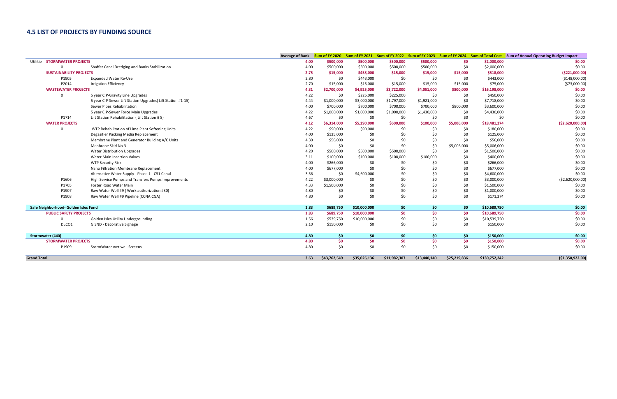## **4.5 LIST OF PROJECTS BY FUNDING SOURCE**

|                                        |                                                             |      |              |              |              |              |              |               | Average of Rank Sum of FY 2020 Sum of FY 2021 Sum of FY 2022 Sum of FY 2023 Sum of FY 2024 Sum of Total Cost Sum of Annual Operating Budget Impact |
|----------------------------------------|-------------------------------------------------------------|------|--------------|--------------|--------------|--------------|--------------|---------------|----------------------------------------------------------------------------------------------------------------------------------------------------|
| <b>STORMWATER PROJECTS</b><br>Utilitie |                                                             | 4.00 | \$500,000    | \$500,000    | \$500,000    | \$500,000    | \$0          | \$2,000,000   | \$0.00                                                                                                                                             |
| $\Omega$                               | Shaffer Canal Dredging and Banks Stabilization              | 4.00 | \$500,000    | \$500,000    | \$500,000    | \$500,000    | \$0          | \$2,000,000   | \$0.00                                                                                                                                             |
| <b>SUSTAINABILITY PROJECTS</b>         |                                                             | 2.75 | \$15,000     | \$458,000    | \$15,000     | \$15,000     | \$15,000     | \$518,000     | ( \$221,000.00]                                                                                                                                    |
| P1905                                  | <b>Expanded Water Re-Use</b>                                | 2.80 | \$0          | \$443,000    | \$0          | \$0          | \$0          | \$443,000     | ( \$148,000.00)                                                                                                                                    |
| P2014                                  | <b>Irrigation Efficiency</b>                                | 2.70 | \$15,000     | \$15,000     | \$15,000     | \$15,000     | \$15,000     | \$75,000      | (\$73,000.00)                                                                                                                                      |
| <b>WASTEWATER PROJECTS</b>             |                                                             | 4.31 | \$2,700,000  | \$4,925,000  | \$3,722,000  | \$4,051,000  | \$800,000    | \$16,198,000  | \$0.00                                                                                                                                             |
| $\Omega$                               | 5 year CIP-Gravity Line Upgrades                            | 4.22 | \$0          | \$225,000    | \$225,000    | \$0          | \$0          | \$450,000     | \$0.00                                                                                                                                             |
|                                        | 5 year CIP-Sewer Lift Station Upgrades (Lift Station #1-15) | 4.44 | \$1,000,000  | \$3,000,000  | \$1,797,000  | \$1,921,000  | \$0          | \$7,718,000   | \$0.00                                                                                                                                             |
|                                        | Sewer Pipes Rehabilitation                                  | 4.00 | \$700,000    | \$700,000    | \$700,000    | \$700,000    | \$800,000    | \$3,600,000   | \$0.00                                                                                                                                             |
|                                        | 5 year CIP-Sewer Force Main Upgrades                        | 4.22 | \$1,000,000  | \$1,000,000  | \$1,000,000  | \$1,430,000  | \$0          | \$4,430,000   | \$0.00                                                                                                                                             |
| P1714                                  | Lift Station Rehabilitation (Lift Station #8)               | 4.67 | \$0          | \$0          | \$0          | \$0          | \$0          | \$0           | \$0.00                                                                                                                                             |
| <b>WATER PROJECTS</b>                  |                                                             | 4.12 | \$6,314,000  | \$5,290,000  | \$600,000    | \$100,000    | \$5,006,000  | \$18,481,274  | (\$2,620,000.00)                                                                                                                                   |
| $\Omega$                               | WTP Rehabilitation of Lime Plant Softening Units            | 4.22 | \$90,000     | \$90,000     | \$0          | \$0          | \$0          | \$180,000     | \$0.00                                                                                                                                             |
|                                        | Degasifier Packing Media Replacement                        | 4.00 | \$125,000    | \$0          | \$0          | \$0          | \$0          | \$125,000     | \$0.00                                                                                                                                             |
|                                        | Membrane Plant and Generator Building A/C Units             | 4.30 | \$56,000     | \$0          | \$0          | \$0          | \$0          | \$56,000      | \$0.00                                                                                                                                             |
|                                        | Menbrane Skid No.3                                          | 4.00 | \$0          | \$0          | \$0          | \$0          | \$5,006,000  | \$5,006,000   | \$0.00                                                                                                                                             |
|                                        | <b>Water Distribution Upgrades</b>                          | 4.20 | \$500,000    | \$500,000    | \$500,000    | \$0          | \$0          | \$1,500,000   | \$0.00                                                                                                                                             |
|                                        | Water Main Insertion Valves                                 | 3.11 | \$100,000    | \$100,000    | \$100,000    | \$100,000    | \$0          | \$400,000     | \$0.00                                                                                                                                             |
|                                        | <b>WTP Security Risk</b>                                    | 4.00 | \$266,000    | \$0          | \$0          | \$0          | \$0          | \$266,000     | \$0.00                                                                                                                                             |
|                                        | Nano Filtration Membrane Replacement                        | 4.00 | \$677,000    | \$0          | \$0          | \$0          | \$0          | \$677,000     | \$0.00                                                                                                                                             |
|                                        | Alternative Water Supply - Phase 1 - C51 Canal              | 3.56 | \$0          | \$4,600,000  | \$0          | \$0          | \$0          | \$4,600,000   | \$0.00                                                                                                                                             |
| P1606                                  | High Service Pumps and Transfers Pumps Improvements         | 4.22 | \$3,000,000  | \$0          | \$0          | \$0          | \$0          | \$3,000,000   | ( \$2,620,000.00)                                                                                                                                  |
| P1705                                  | Foster Road Water Main                                      | 4.33 | \$1,500,000  | \$0          | \$0          | \$0          | \$0          | \$1,500,000   | \$0.00                                                                                                                                             |
| P1907                                  | Raw Water Well #9 (Work authorization #30)                  | 4.80 | \$0          | \$0          | $$0$$        | \$0          | \$0          | \$1,000,000   | \$0.00                                                                                                                                             |
| P1908                                  | Raw Water Well #9 Pipeline (CCNA CGA)                       | 4.80 | \$0          | \$0          | \$0          | \$0          | \$0          | \$171,274     | \$0.00                                                                                                                                             |
|                                        |                                                             |      |              |              |              |              |              |               |                                                                                                                                                    |
| Safe Neighborhood- Golden Isles Fund   |                                                             | 1.83 | \$689,750    | \$10,000,000 | \$0          | \$0          | \$0          | \$10,689,750  | \$0.00                                                                                                                                             |
| <b>PUBLIC SAFETY PROJECTS</b>          |                                                             | 1.83 | \$689,750    | \$10,000,000 | \$0          | \$0          | \$0          | \$10,689,750  | \$0.00                                                                                                                                             |
| $\Omega$                               | Golden Isles Utility Undergrounding                         | 1.56 | \$539,750    | \$10,000,000 | \$0          | \$0          | \$0          | \$10,539,750  | \$0.00                                                                                                                                             |
| DECO1                                  | <b>GISND - Decorative Signage</b>                           | 2.10 | \$150,000    | \$0          | \$0          | \$0          | \$0          | \$150,000     | \$0.00                                                                                                                                             |
| Stormwater (440)                       |                                                             | 4.80 | \$0          | \$0          | \$0          | \$0          | \$0          | \$150,000     | \$0.00                                                                                                                                             |
| <b>STORMWATER PROJECTS</b>             |                                                             | 4.80 | \$0          | \$0          | \$0          | \$0          | \$0          | \$150,000     | \$0.00                                                                                                                                             |
| P1909                                  | StormWater wet well Screens                                 | 4.80 | \$0          | \$0          | \$0          | \$0          | \$0          | \$150,000     | \$0.00                                                                                                                                             |
| <b>Grand Total</b>                     |                                                             | 3.63 | \$43,762,549 | \$35,026,136 | \$11,982,307 | \$13,440,140 | \$25,219,836 | \$130,752,242 | ( \$1,350,922.00)                                                                                                                                  |